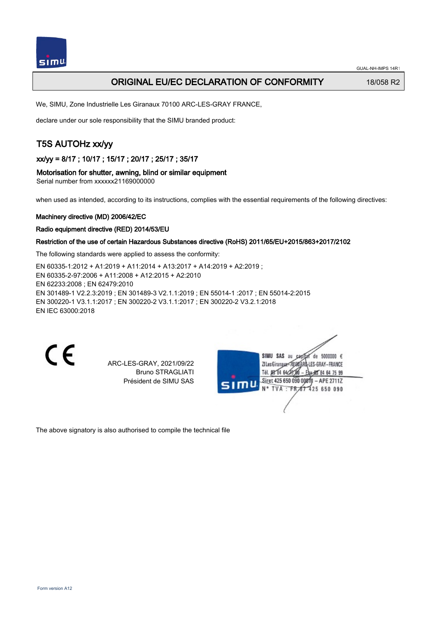

## ORIGINAL EU/EC DECLARATION OF CONFORMITY 18/058 R2

We, SIMU, Zone Industrielle Les Giranaux 70100 ARC-LES-GRAY FRANCE,

declare under our sole responsibility that the SIMU branded product:

## T5S AUTOHz xx/yy

xx/yy = 8/17 ; 10/17 ; 15/17 ; 20/17 ; 25/17 ; 35/17

### Motorisation for shutter, awning, blind or similar equipment

Serial number from xxxxxx21169000000

when used as intended, according to its instructions, complies with the essential requirements of the following directives:

#### Machinery directive (MD) 2006/42/EC

#### Radio equipment directive (RED) 2014/53/EU

### Restriction of the use of certain Hazardous Substances directive (RoHS) 2011/65/EU+2015/863+2017/2102

The following standards were applied to assess the conformity:

EN 60335‑1:2012 + A1:2019 + A11:2014 + A13:2017 + A14:2019 + A2:2019 ; EN 60335‑2‑97:2006 + A11:2008 + A12:2015 + A2:2010 EN 62233:2008 ; EN 62479:2010 EN 301489‑1 V2.2.3:2019 ; EN 301489‑3 V2.1.1:2019 ; EN 55014‑1 :2017 ; EN 55014‑2:2015 EN 300220‑1 V3.1.1:2017 ; EN 300220‑2 V3.1.1:2017 ; EN 300220‑2 V3.2.1:2018 EN IEC 63000:2018

 $\epsilon$ 

ARC-LES-GRAY, 2021/09/22 Bruno STRAGLIATI Président de SIMU SAS

de 5000000  $\epsilon$ **ZILesGiranaua** ES-GRAY-FRANCE TÁL DR' RA 64/27 RÓ 85 84 64 75 99 Siret 425 650 090 00811 - APE 2711Z FR 67 425 650 090 TVA

The above signatory is also authorised to compile the technical file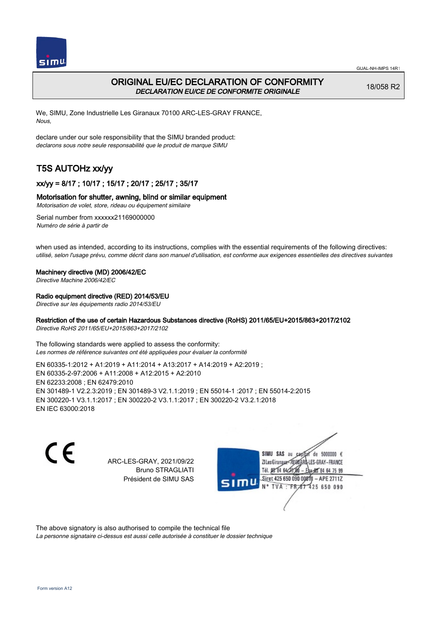

## ORIGINAL EU/EC DECLARATION OF CONFORMITY DECLARATION EU/CE DE CONFORMITE ORIGINALE

18/058 R2

We, SIMU, Zone Industrielle Les Giranaux 70100 ARC-LES-GRAY FRANCE, Nous,

declare under our sole responsibility that the SIMU branded product: declarons sous notre seule responsabilité que le produit de marque SIMU

# T5S AUTOHz xx/yy

## xx/yy = 8/17 ; 10/17 ; 15/17 ; 20/17 ; 25/17 ; 35/17

## Motorisation for shutter, awning, blind or similar equipment

Motorisation de volet, store, rideau ou équipement similaire

Serial number from xxxxxx21169000000 Numéro de série à partir de

when used as intended, according to its instructions, complies with the essential requirements of the following directives: utilisé, selon l'usage prévu, comme décrit dans son manuel d'utilisation, est conforme aux exigences essentielles des directives suivantes

### Machinery directive (MD) 2006/42/EC

Directive Machine 2006/42/EC

## Radio equipment directive (RED) 2014/53/EU

Directive sur les équipements radio 2014/53/EU

## Restriction of the use of certain Hazardous Substances directive (RoHS) 2011/65/EU+2015/863+2017/2102

Directive RoHS 2011/65/EU+2015/863+2017/2102

The following standards were applied to assess the conformity: Les normes de référence suivantes ont été appliquées pour évaluer la conformité

EN 60335‑1:2012 + A1:2019 + A11:2014 + A13:2017 + A14:2019 + A2:2019 ; EN 60335‑2‑97:2006 + A11:2008 + A12:2015 + A2:2010 EN 62233:2008 ; EN 62479:2010 EN 301489‑1 V2.2.3:2019 ; EN 301489‑3 V2.1.1:2019 ; EN 55014‑1 :2017 ; EN 55014‑2:2015 EN 300220‑1 V3.1.1:2017 ; EN 300220‑2 V3.1.1:2017 ; EN 300220‑2 V3.2.1:2018 EN IEC 63000:2018

 $\epsilon$ 

ARC-LES-GRAY, 2021/09/22 Bruno STRAGLIATI Président de SIMU SAS



The above signatory is also authorised to compile the technical file

La personne signataire ci-dessus est aussi celle autorisée à constituer le dossier technique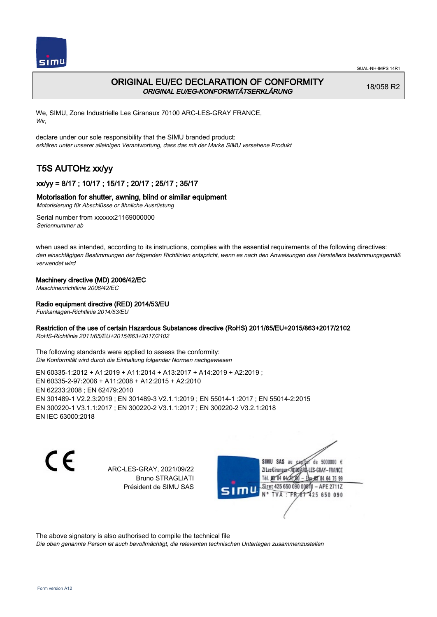

## ORIGINAL EU/EC DECLARATION OF CONFORMITY ORIGINAL EU/EG-KONFORMITÄTSERKLÄRUNG

18/058 R2

We, SIMU, Zone Industrielle Les Giranaux 70100 ARC-LES-GRAY FRANCE, Wir,

declare under our sole responsibility that the SIMU branded product: erklären unter unserer alleinigen Verantwortung, dass das mit der Marke SIMU versehene Produkt

# T5S AUTOHz xx/yy

## xx/yy = 8/17 ; 10/17 ; 15/17 ; 20/17 ; 25/17 ; 35/17

## Motorisation for shutter, awning, blind or similar equipment

Motorisierung für Abschlüsse or ähnliche Ausrüstung

Serial number from xxxxxx21169000000 Seriennummer ab

when used as intended, according to its instructions, complies with the essential requirements of the following directives: den einschlägigen Bestimmungen der folgenden Richtlinien entspricht, wenn es nach den Anweisungen des Herstellers bestimmungsgemäß verwendet wird

## Machinery directive (MD) 2006/42/EC

Maschinenrichtlinie 2006/42/EC

## Radio equipment directive (RED) 2014/53/EU

Funkanlagen-Richtlinie 2014/53/EU

## Restriction of the use of certain Hazardous Substances directive (RoHS) 2011/65/EU+2015/863+2017/2102

RoHS-Richtlinie 2011/65/EU+2015/863+2017/2102

The following standards were applied to assess the conformity: Die Konformität wird durch die Einhaltung folgender Normen nachgewiesen

EN 60335‑1:2012 + A1:2019 + A11:2014 + A13:2017 + A14:2019 + A2:2019 ; EN 60335‑2‑97:2006 + A11:2008 + A12:2015 + A2:2010 EN 62233:2008 ; EN 62479:2010 EN 301489‑1 V2.2.3:2019 ; EN 301489‑3 V2.1.1:2019 ; EN 55014‑1 :2017 ; EN 55014‑2:2015 EN 300220‑1 V3.1.1:2017 ; EN 300220‑2 V3.1.1:2017 ; EN 300220‑2 V3.2.1:2018 EN IEC 63000:2018

C E

ARC-LES-GRAY, 2021/09/22 Bruno STRAGLIATI Président de SIMU SAS

SIMU SAS au de 5000000  $\epsilon$ ZI Les Giranaux-70180 LES-GRAY-FRANCE Tél. 08 84 64 24 64 75 99 Siret 425 650 090 0001) - APE 2711Z 425 650 090 **TVA:FR** 

The above signatory is also authorised to compile the technical file

Die oben genannte Person ist auch bevollmächtigt, die relevanten technischen Unterlagen zusammenzustellen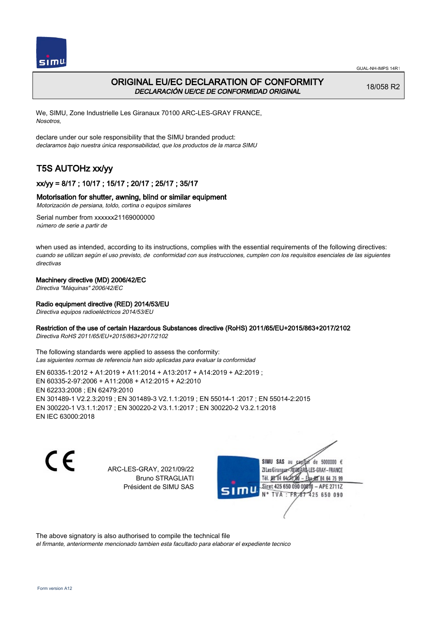



## ORIGINAL EU/EC DECLARATION OF CONFORMITY DECLARACIÓN UE/CE DE CONFORMIDAD ORIGINAL

18/058 R2

We, SIMU, Zone Industrielle Les Giranaux 70100 ARC-LES-GRAY FRANCE, Nosotros,

declare under our sole responsibility that the SIMU branded product: declaramos bajo nuestra única responsabilidad, que los productos de la marca SIMU

# T5S AUTOHz xx/yy

## xx/yy = 8/17 ; 10/17 ; 15/17 ; 20/17 ; 25/17 ; 35/17

## Motorisation for shutter, awning, blind or similar equipment

Motorización de persiana, toldo, cortina o equipos similares

Serial number from xxxxxx21169000000 número de serie a partir de

when used as intended, according to its instructions, complies with the essential requirements of the following directives: cuando se utilizan según el uso previsto, de conformidad con sus instrucciones, cumplen con los requisitos esenciales de las siguientes directivas

## Machinery directive (MD) 2006/42/EC

Directiva "Máquinas" 2006/42/EC

## Radio equipment directive (RED) 2014/53/EU

Directiva equipos radioeléctricos 2014/53/EU

## Restriction of the use of certain Hazardous Substances directive (RoHS) 2011/65/EU+2015/863+2017/2102

Directiva RoHS 2011/65/EU+2015/863+2017/2102

The following standards were applied to assess the conformity: Las siguientes normas de referencia han sido aplicadas para evaluar la conformidad

EN 60335‑1:2012 + A1:2019 + A11:2014 + A13:2017 + A14:2019 + A2:2019 ; EN 60335‑2‑97:2006 + A11:2008 + A12:2015 + A2:2010 EN 62233:2008 ; EN 62479:2010 EN 301489‑1 V2.2.3:2019 ; EN 301489‑3 V2.1.1:2019 ; EN 55014‑1 :2017 ; EN 55014‑2:2015 EN 300220‑1 V3.1.1:2017 ; EN 300220‑2 V3.1.1:2017 ; EN 300220‑2 V3.2.1:2018 EN IEC 63000:2018

C E

ARC-LES-GRAY, 2021/09/22 Bruno STRAGLIATI Président de SIMU SAS

SIMU SAS au de 5000000  $\epsilon$ ZI Les Giranaux</r0180 LES-GRAY-FRANCE Tél. 08 84 64 24 64 75 99 Siret 425 650 090 008TV - APE 2711Z 425 650 090 TVA: FR

The above signatory is also authorised to compile the technical file

el firmante, anteriormente mencionado tambien esta facultado para elaborar el expediente tecnico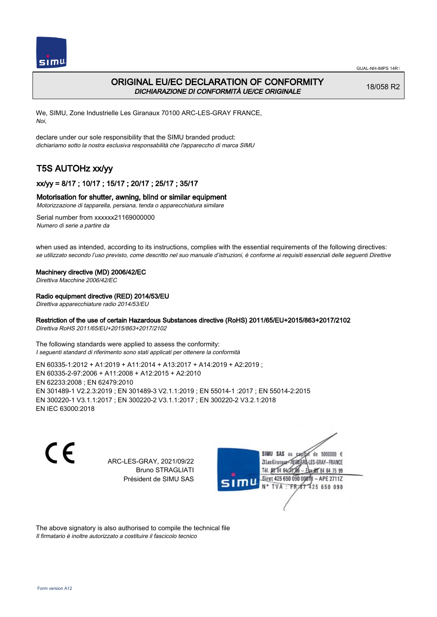

## ORIGINAL EU/EC DECLARATION OF CONFORMITY DICHIARAZIONE DI CONFORMITÀ UE/CE ORIGINALE

18/058 R2

We, SIMU, Zone Industrielle Les Giranaux 70100 ARC-LES-GRAY FRANCE, Noi,

declare under our sole responsibility that the SIMU branded product: dichiariamo sotto la nostra esclusiva responsabilità che l'appareccho di marca SIMU

# T5S AUTOHz xx/yy

## xx/yy = 8/17 ; 10/17 ; 15/17 ; 20/17 ; 25/17 ; 35/17

## Motorisation for shutter, awning, blind or similar equipment

Motorizzazione di tapparella, persiana, tenda o apparecchiatura similare

Serial number from xxxxxx21169000000 Numero di serie a partire da

when used as intended, according to its instructions, complies with the essential requirements of the following directives: se utilizzato secondo l'uso previsto, come descritto nel suo manuale d'istruzioni, è conforme ai requisiti essenziali delle seguenti Direttive

### Machinery directive (MD) 2006/42/EC

Direttiva Macchine 2006/42/EC

## Radio equipment directive (RED) 2014/53/EU

Direttiva apparecchiature radio 2014/53/EU

## Restriction of the use of certain Hazardous Substances directive (RoHS) 2011/65/EU+2015/863+2017/2102

Direttiva RoHS 2011/65/EU+2015/863+2017/2102

The following standards were applied to assess the conformity: I seguenti standard di riferimento sono stati applicati per ottenere la conformità

EN 60335‑1:2012 + A1:2019 + A11:2014 + A13:2017 + A14:2019 + A2:2019 ; EN 60335‑2‑97:2006 + A11:2008 + A12:2015 + A2:2010 EN 62233:2008 ; EN 62479:2010 EN 301489‑1 V2.2.3:2019 ; EN 301489‑3 V2.1.1:2019 ; EN 55014‑1 :2017 ; EN 55014‑2:2015 EN 300220‑1 V3.1.1:2017 ; EN 300220‑2 V3.1.1:2017 ; EN 300220‑2 V3.2.1:2018 EN IEC 63000:2018

 $\epsilon$ 

ARC-LES-GRAY, 2021/09/22 Bruno STRAGLIATI Président de SIMU SAS



The above signatory is also authorised to compile the technical file Il firmatario è inoltre autorizzato a costituire il fascicolo tecnico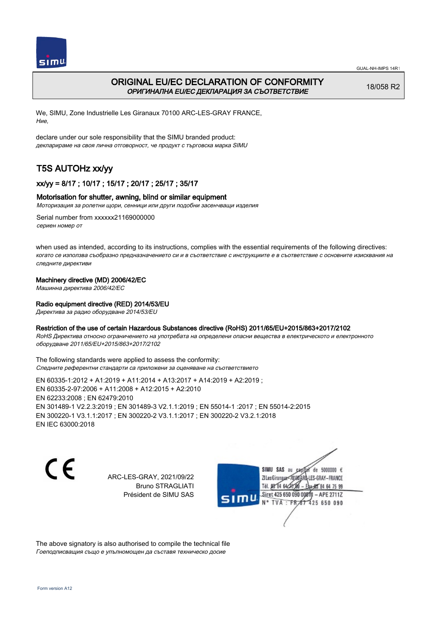



## ORIGINAL EU/EC DECLARATION OF CONFORMITY ОРИГИНАЛНА EU/EC ДЕКЛАРАЦИЯ ЗА СЪОТВЕТСТВИЕ

18/058 R2

We, SIMU, Zone Industrielle Les Giranaux 70100 ARC-LES-GRAY FRANCE, Ние,

declare under our sole responsibility that the SIMU branded product: декларираме на своя лична отговорност, че продукт с търговска марка SIMU

# T5S AUTOHz xx/yy

## xx/yy = 8/17 ; 10/17 ; 15/17 ; 20/17 ; 25/17 ; 35/17

### Motorisation for shutter, awning, blind or similar equipment

Моторизация за ролетни щори, сенници или други подобни засенчващи изделия

Serial number from xxxxxx21169000000 сериен номер от

when used as intended, according to its instructions, complies with the essential requirements of the following directives: когато се използва съобразно предназначението си и в съответствие с инструкциите е в съответствие с основните изисквания на следните директиви

### Machinery directive (MD) 2006/42/EC

Машинна директива 2006/42/EC

### Radio equipment directive (RED) 2014/53/EU

Директива за радио оборудване 2014/53/EU

### Restriction of the use of certain Hazardous Substances directive (RoHS) 2011/65/EU+2015/863+2017/2102

RoHS Директива относно ограничението на употребата на определени опасни вещества в електрическото и електронното оборудване 2011/65/EU+2015/863+2017/2102

The following standards were applied to assess the conformity: Следните референтни стандарти са приложени за оценяване на съответствието

EN 60335‑1:2012 + A1:2019 + A11:2014 + A13:2017 + A14:2019 + A2:2019 ; EN 60335‑2‑97:2006 + A11:2008 + A12:2015 + A2:2010 EN 62233:2008 ; EN 62479:2010 EN 301489‑1 V2.2.3:2019 ; EN 301489‑3 V2.1.1:2019 ; EN 55014‑1 :2017 ; EN 55014‑2:2015 EN 300220‑1 V3.1.1:2017 ; EN 300220‑2 V3.1.1:2017 ; EN 300220‑2 V3.2.1:2018 EN IEC 63000:2018

C E

ARC-LES-GRAY, 2021/09/22 Bruno STRAGLIATI Président de SIMU SAS



The above signatory is also authorised to compile the technical file Гоеподписващия също е упълномощен да съставя техническо досие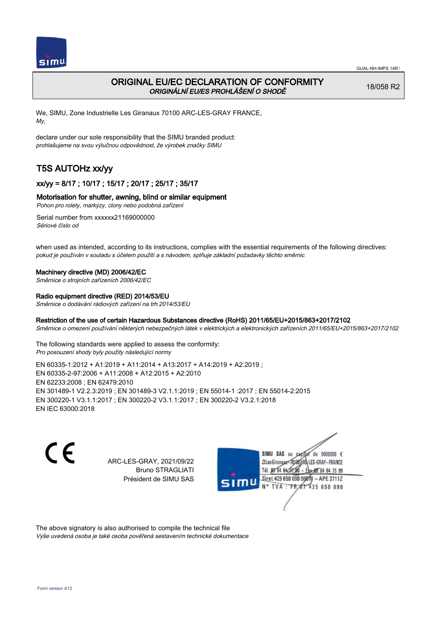

## ORIGINAL EU/EC DECLARATION OF CONFORMITY ORIGINÁLNÍ EU/ES PROHLÁŠENÍ O SHODĚ

18/058 R2

We, SIMU, Zone Industrielle Les Giranaux 70100 ARC-LES-GRAY FRANCE, My,

declare under our sole responsibility that the SIMU branded product: prohlašujeme na svou výlučnou odpovědnost, že výrobek značky SIMU

# T5S AUTOHz xx/yy

## xx/yy = 8/17 ; 10/17 ; 15/17 ; 20/17 ; 25/17 ; 35/17

## Motorisation for shutter, awning, blind or similar equipment

Pohon pro rolety, markýzy, clony nebo podobná zařízení

Serial number from xxxxxx21169000000 Sériové číslo od

when used as intended, according to its instructions, complies with the essential requirements of the following directives: pokud je používán v souladu s účelem použití a s návodem, splňuje základní požadavky těchto směrnic

### Machinery directive (MD) 2006/42/EC

Směrnice o strojních zařízeních 2006/42/EC

### Radio equipment directive (RED) 2014/53/EU

Směrnice o dodávání rádiových zařízení na trh 2014/53/EU

## Restriction of the use of certain Hazardous Substances directive (RoHS) 2011/65/EU+2015/863+2017/2102

Směrnice o omezení používání některých nebezpečných látek v elektrických a elektronických zařízeních 2011/65/EU+2015/863+2017/2102

The following standards were applied to assess the conformity: Pro posouzení shody byly použity následující normy

EN 60335‑1:2012 + A1:2019 + A11:2014 + A13:2017 + A14:2019 + A2:2019 ; EN 60335‑2‑97:2006 + A11:2008 + A12:2015 + A2:2010 EN 62233:2008 ; EN 62479:2010 EN 301489‑1 V2.2.3:2019 ; EN 301489‑3 V2.1.1:2019 ; EN 55014‑1 :2017 ; EN 55014‑2:2015 EN 300220‑1 V3.1.1:2017 ; EN 300220‑2 V3.1.1:2017 ; EN 300220‑2 V3.2.1:2018 EN IEC 63000:2018

 $\epsilon$ 

ARC-LES-GRAY, 2021/09/22 Bruno STRAGLIATI Président de SIMU SAS



The above signatory is also authorised to compile the technical file Výše uvedená osoba je také osoba pověřená sestavením technické dokumentace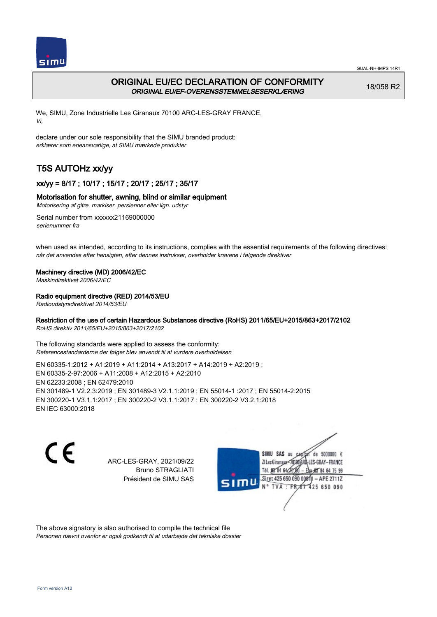



## ORIGINAL EU/EC DECLARATION OF CONFORMITY ORIGINAL EU/EF-OVERENSSTEMMELSESERKLÆRING

18/058 R2

We, SIMU, Zone Industrielle Les Giranaux 70100 ARC-LES-GRAY FRANCE, Vi,

declare under our sole responsibility that the SIMU branded product: erklærer som eneansvarlige, at SIMU mærkede produkter

# T5S AUTOHz xx/yy

## xx/yy = 8/17 ; 10/17 ; 15/17 ; 20/17 ; 25/17 ; 35/17

## Motorisation for shutter, awning, blind or similar equipment

Motorisering af gitre, markiser, persienner eller lign. udstyr

Serial number from xxxxxx21169000000 serienummer fra

when used as intended, according to its instructions, complies with the essential requirements of the following directives: når det anvendes efter hensigten, efter dennes instrukser, overholder kravene i følgende direktiver

## Machinery directive (MD) 2006/42/EC

Maskindirektivet 2006/42/EC

## Radio equipment directive (RED) 2014/53/EU

Radioudstyrsdirektivet 2014/53/EU

## Restriction of the use of certain Hazardous Substances directive (RoHS) 2011/65/EU+2015/863+2017/2102

RoHS direktiv 2011/65/EU+2015/863+2017/2102

The following standards were applied to assess the conformity: Referencestandarderne der følger blev anvendt til at vurdere overholdelsen

EN 60335‑1:2012 + A1:2019 + A11:2014 + A13:2017 + A14:2019 + A2:2019 ; EN 60335‑2‑97:2006 + A11:2008 + A12:2015 + A2:2010 EN 62233:2008 ; EN 62479:2010 EN 301489‑1 V2.2.3:2019 ; EN 301489‑3 V2.1.1:2019 ; EN 55014‑1 :2017 ; EN 55014‑2:2015 EN 300220‑1 V3.1.1:2017 ; EN 300220‑2 V3.1.1:2017 ; EN 300220‑2 V3.2.1:2018 EN IEC 63000:2018

 $\epsilon$ 

ARC-LES-GRAY, 2021/09/22 Bruno STRAGLIATI Président de SIMU SAS



The above signatory is also authorised to compile the technical file Personen nævnt ovenfor er også godkendt til at udarbejde det tekniske dossier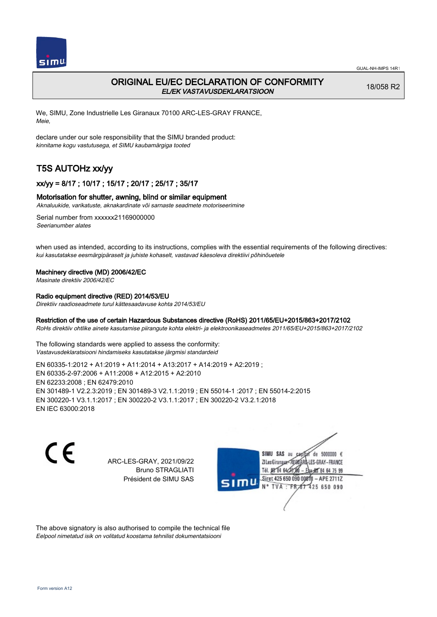

## ORIGINAL EU/EC DECLARATION OF CONFORMITY EL/EK VASTAVUSDEKLARATSIOON

18/058 R2

We, SIMU, Zone Industrielle Les Giranaux 70100 ARC-LES-GRAY FRANCE, Meie,

declare under our sole responsibility that the SIMU branded product: kinnitame kogu vastutusega, et SIMU kaubamärgiga tooted

# T5S AUTOHz xx/yy

## xx/yy = 8/17 ; 10/17 ; 15/17 ; 20/17 ; 25/17 ; 35/17

#### Motorisation for shutter, awning, blind or similar equipment

Aknaluukide, varikatuste, aknakardinate või sarnaste seadmete motoriseerimine

Serial number from xxxxxx21169000000 Seerianumber alates

when used as intended, according to its instructions, complies with the essential requirements of the following directives: kui kasutatakse eesmärgipäraselt ja juhiste kohaselt, vastavad käesoleva direktiivi põhinõuetele

#### Machinery directive (MD) 2006/42/EC

Masinate direktiiv 2006/42/EC

## Radio equipment directive (RED) 2014/53/EU

Direktiiv raadioseadmete turul kättesaadavuse kohta 2014/53/EU

## Restriction of the use of certain Hazardous Substances directive (RoHS) 2011/65/EU+2015/863+2017/2102

RoHs direktiiv ohtlike ainete kasutamise piirangute kohta elektri- ja elektroonikaseadmetes 2011/65/EU+2015/863+2017/2102

The following standards were applied to assess the conformity: Vastavusdeklaratsiooni hindamiseks kasutatakse järgmisi standardeid

EN 60335‑1:2012 + A1:2019 + A11:2014 + A13:2017 + A14:2019 + A2:2019 ; EN 60335‑2‑97:2006 + A11:2008 + A12:2015 + A2:2010 EN 62233:2008 ; EN 62479:2010 EN 301489‑1 V2.2.3:2019 ; EN 301489‑3 V2.1.1:2019 ; EN 55014‑1 :2017 ; EN 55014‑2:2015 EN 300220‑1 V3.1.1:2017 ; EN 300220‑2 V3.1.1:2017 ; EN 300220‑2 V3.2.1:2018 EN IEC 63000:2018

 $\epsilon$ 

ARC-LES-GRAY, 2021/09/22 Bruno STRAGLIATI Président de SIMU SAS



The above signatory is also authorised to compile the technical file Eelpool nimetatud isik on volitatud koostama tehnilist dokumentatsiooni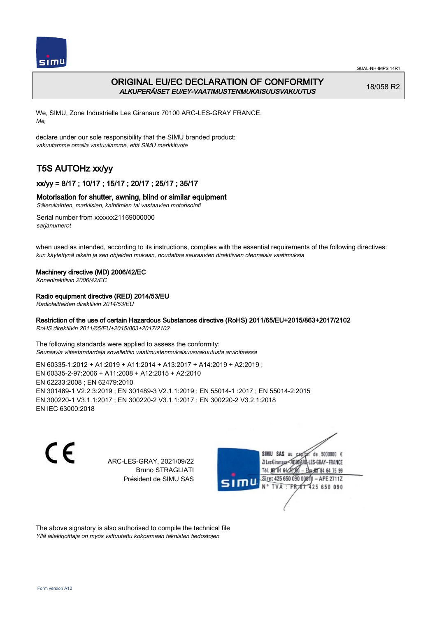

## ORIGINAL EU/EC DECLARATION OF CONFORMITY ALKUPERÄISET EU/EY-VAATIMUSTENMUKAISUUSVAKUUTUS

18/058 R2

We, SIMU, Zone Industrielle Les Giranaux 70100 ARC-LES-GRAY FRANCE, Me,

declare under our sole responsibility that the SIMU branded product: vakuutamme omalla vastuullamme, että SIMU merkkituote

# T5S AUTOHz xx/yy

## xx/yy = 8/17 ; 10/17 ; 15/17 ; 20/17 ; 25/17 ; 35/17

## Motorisation for shutter, awning, blind or similar equipment

Sälerullainten, markiisien, kaihtimien tai vastaavien motorisointi

Serial number from xxxxxx21169000000 sarianumerot

when used as intended, according to its instructions, complies with the essential requirements of the following directives: kun käytettynä oikein ja sen ohjeiden mukaan, noudattaa seuraavien direktiivien olennaisia vaatimuksia

## Machinery directive (MD) 2006/42/EC

Konedirektiivin 2006/42/EC

## Radio equipment directive (RED) 2014/53/EU

Radiolaitteiden direktiivin 2014/53/EU

## Restriction of the use of certain Hazardous Substances directive (RoHS) 2011/65/EU+2015/863+2017/2102

RoHS direktiivin 2011/65/EU+2015/863+2017/2102

The following standards were applied to assess the conformity: Seuraavia viitestandardeja sovellettiin vaatimustenmukaisuusvakuutusta arvioitaessa

EN 60335‑1:2012 + A1:2019 + A11:2014 + A13:2017 + A14:2019 + A2:2019 ; EN 60335‑2‑97:2006 + A11:2008 + A12:2015 + A2:2010 EN 62233:2008 ; EN 62479:2010 EN 301489‑1 V2.2.3:2019 ; EN 301489‑3 V2.1.1:2019 ; EN 55014‑1 :2017 ; EN 55014‑2:2015 EN 300220‑1 V3.1.1:2017 ; EN 300220‑2 V3.1.1:2017 ; EN 300220‑2 V3.2.1:2018 EN IEC 63000:2018

 $\epsilon$ 

ARC-LES-GRAY, 2021/09/22 Bruno STRAGLIATI Président de SIMU SAS



The above signatory is also authorised to compile the technical file Yllä allekirjoittaja on myös valtuutettu kokoamaan teknisten tiedostojen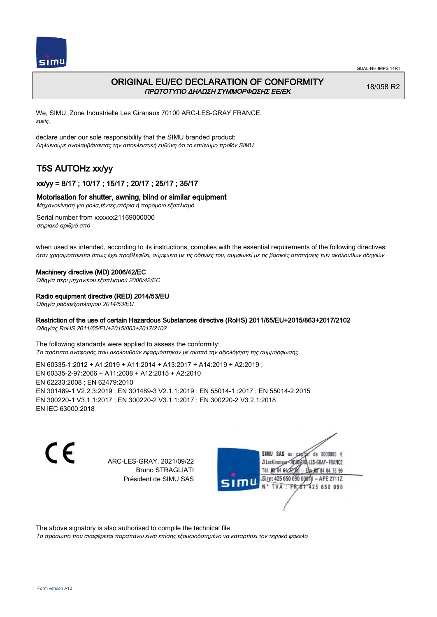

## ORIGINAL EU/EC DECLARATION OF CONFORMITY ΠΡΩΤΟΤΥΠΟ ΔΗΛΩΣΗ ΣΥΜΜΟΡΦΩΣΗΣ ΕΕ/EK

18/058 R2

We, SIMU, Zone Industrielle Les Giranaux 70100 ARC-LES-GRAY FRANCE, εμείς,

declare under our sole responsibility that the SIMU branded product: Δηλώνουμε αναλαμβάνοντας την αποκλειστική ευθύνη ότι το επώνυμο προϊόν SIMU

# T5S AUTOHz xx/yy

## xx/yy = 8/17 ; 10/17 ; 15/17 ; 20/17 ; 25/17 ; 35/17

### Motorisation for shutter, awning, blind or similar equipment

Μηχανοκίνηση για ρολα,τέντες,στόρια ή παρόμοιο εξοπλισμό

Serial number from xxxxxx21169000000 σειριακό αριθμό από

when used as intended, according to its instructions, complies with the essential requirements of the following directives: όταν χρησιμοποιείται όπως έχει προβλεφθεί, σύμφωνα με τις οδηγίες του, συμφωνεί με τις βασικές απαιτήσεις των ακόλουθων οδηγιών

#### Machinery directive (MD) 2006/42/EC

Οδηγία περι μηχανικού εξοπλισμού 2006/42/EC

#### Radio equipment directive (RED) 2014/53/EU

Οδηγία ραδιοεξοπλισμού 2014/53/EU

### Restriction of the use of certain Hazardous Substances directive (RoHS) 2011/65/EU+2015/863+2017/2102

Οδηγίας RoHS 2011/65/EU+2015/863+2017/2102

The following standards were applied to assess the conformity: Τα πρότυπα αναφοράς που ακολουθούν εφαρμόστηκαν με σκοπό την αξιολόγηση της συμμόρφωσης

EN 60335‑1:2012 + A1:2019 + A11:2014 + A13:2017 + A14:2019 + A2:2019 ; EN 60335‑2‑97:2006 + A11:2008 + A12:2015 + A2:2010 EN 62233:2008 ; EN 62479:2010 EN 301489‑1 V2.2.3:2019 ; EN 301489‑3 V2.1.1:2019 ; EN 55014‑1 :2017 ; EN 55014‑2:2015 EN 300220‑1 V3.1.1:2017 ; EN 300220‑2 V3.1.1:2017 ; EN 300220‑2 V3.2.1:2018 EN IEC 63000:2018

C E

ARC-LES-GRAY, 2021/09/22 Bruno STRAGLIATI Président de SIMU SAS



The above signatory is also authorised to compile the technical file

Το πρόσωπο που αναφέρεται παραπάνω είναι επίσης εξουσιοδοτημένο να καταρτίσει τον τεχνικό φάκελο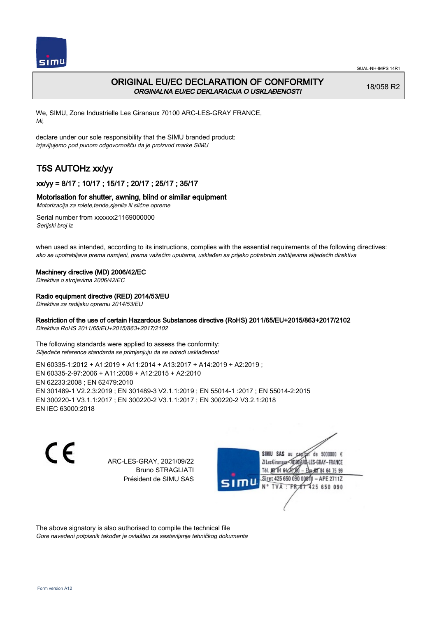

## ORIGINAL EU/EC DECLARATION OF CONFORMITY ORGINALNA EU/EC DEKLARACIJA O USKLAĐENOSTI

18/058 R2

We, SIMU, Zone Industrielle Les Giranaux 70100 ARC-LES-GRAY FRANCE, Mi,

declare under our sole responsibility that the SIMU branded product: izjavljujemo pod punom odgovornošču da je proizvod marke SIMU

# T5S AUTOHz xx/yy

## xx/yy = 8/17 ; 10/17 ; 15/17 ; 20/17 ; 25/17 ; 35/17

## Motorisation for shutter, awning, blind or similar equipment

Motorizacija za rolete,tende,sjenila ili slične opreme

Serial number from xxxxxx21169000000 Serijski broj iz

when used as intended, according to its instructions, complies with the essential requirements of the following directives: ako se upotrebljava prema namjeni, prema važećim uputama, usklađen sa prijeko potrebnim zahtijevima slijedećih direktiva

### Machinery directive (MD) 2006/42/EC

Direktiva o strojevima 2006/42/EC

## Radio equipment directive (RED) 2014/53/EU

Direktiva za radijsku opremu 2014/53/EU

## Restriction of the use of certain Hazardous Substances directive (RoHS) 2011/65/EU+2015/863+2017/2102

Direktiva RoHS 2011/65/EU+2015/863+2017/2102

The following standards were applied to assess the conformity: Slijedeće reference standarda se primjenjuju da se odredi usklađenost

EN 60335‑1:2012 + A1:2019 + A11:2014 + A13:2017 + A14:2019 + A2:2019 ; EN 60335‑2‑97:2006 + A11:2008 + A12:2015 + A2:2010 EN 62233:2008 ; EN 62479:2010 EN 301489‑1 V2.2.3:2019 ; EN 301489‑3 V2.1.1:2019 ; EN 55014‑1 :2017 ; EN 55014‑2:2015 EN 300220‑1 V3.1.1:2017 ; EN 300220‑2 V3.1.1:2017 ; EN 300220‑2 V3.2.1:2018 EN IEC 63000:2018

 $\epsilon$ 

ARC-LES-GRAY, 2021/09/22 Bruno STRAGLIATI Président de SIMU SAS



The above signatory is also authorised to compile the technical file Gore navedeni potpisnik također je ovlašten za sastavljanje tehničkog dokumenta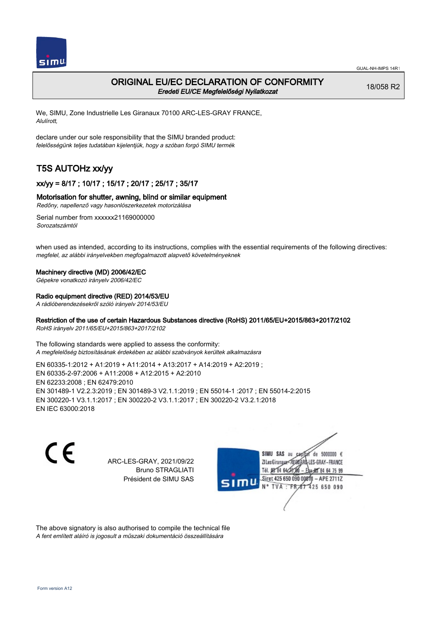

## ORIGINAL EU/EC DECLARATION OF CONFORMITY Eredeti EU/CE Megfelelőségi Nyilatkozat

18/058 R2

We, SIMU, Zone Industrielle Les Giranaux 70100 ARC-LES-GRAY FRANCE, Alulírott,

declare under our sole responsibility that the SIMU branded product: felelősségünk teljes tudatában kijelentjük, hogy a szóban forgó SIMU termék

# T5S AUTOHz xx/yy

## xx/yy = 8/17 ; 10/17 ; 15/17 ; 20/17 ; 25/17 ; 35/17

### Motorisation for shutter, awning, blind or similar equipment

Redőny, napellenző vagy hasonlószerkezetek motorizálása

Serial number from xxxxxx21169000000 Sorozatszámtól

when used as intended, according to its instructions, complies with the essential requirements of the following directives: megfelel, az alábbi irányelvekben megfogalmazott alapvető követelményeknek

#### Machinery directive (MD) 2006/42/EC

Gépekre vonatkozó irányelv 2006/42/EC

#### Radio equipment directive (RED) 2014/53/EU

A rádióberendezésekről szóló irányelv 2014/53/EU

### Restriction of the use of certain Hazardous Substances directive (RoHS) 2011/65/EU+2015/863+2017/2102

RoHS irányelv 2011/65/EU+2015/863+2017/2102

The following standards were applied to assess the conformity: A megfelelőség biztosításának érdekében az alábbi szabványok kerültek alkalmazásra

EN 60335‑1:2012 + A1:2019 + A11:2014 + A13:2017 + A14:2019 + A2:2019 ; EN 60335‑2‑97:2006 + A11:2008 + A12:2015 + A2:2010 EN 62233:2008 ; EN 62479:2010 EN 301489‑1 V2.2.3:2019 ; EN 301489‑3 V2.1.1:2019 ; EN 55014‑1 :2017 ; EN 55014‑2:2015 EN 300220‑1 V3.1.1:2017 ; EN 300220‑2 V3.1.1:2017 ; EN 300220‑2 V3.2.1:2018 EN IEC 63000:2018

C E

ARC-LES-GRAY, 2021/09/22 Bruno STRAGLIATI Président de SIMU SAS



The above signatory is also authorised to compile the technical file A fent említett aláíró is jogosult a műszaki dokumentáció összeállítására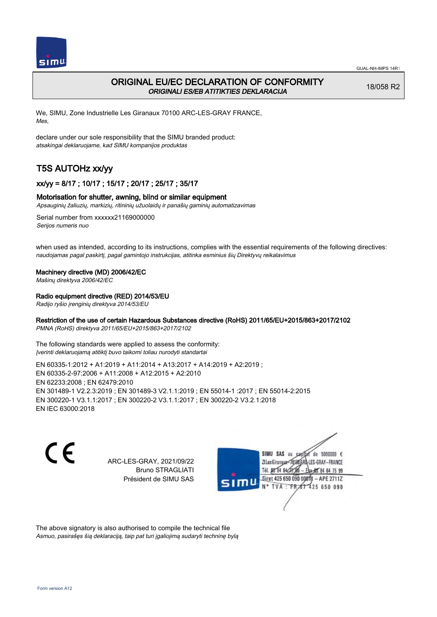

## ORIGINAL EU/EC DECLARATION OF CONFORMITY ORIGINALI ES/EB ATITIKTIES DEKLARACIJA

18/058 R2

We, SIMU, Zone Industrielle Les Giranaux 70100 ARC-LES-GRAY FRANCE, Mes,

declare under our sole responsibility that the SIMU branded product: atsakingai deklaruojame, kad SIMU kompanijos produktas

# T5S AUTOHz xx/yy

## xx/yy = 8/17 ; 10/17 ; 15/17 ; 20/17 ; 25/17 ; 35/17

## Motorisation for shutter, awning, blind or similar equipment

Apsauginių žaliuzių, markizių, ritininių užuolaidų ir panašių gaminių automatizavimas

Serial number from xxxxxx21169000000 Serijos numeris nuo

when used as intended, according to its instructions, complies with the essential requirements of the following directives: naudojamas pagal paskirtį, pagal gamintojo instrukcijas, atitinka esminius šių Direktyvų reikalavimus

### Machinery directive (MD) 2006/42/EC

Mašinų direktyva 2006/42/EC

## Radio equipment directive (RED) 2014/53/EU

Radijo ryšio įrenginių direktyva 2014/53/EU

## Restriction of the use of certain Hazardous Substances directive (RoHS) 2011/65/EU+2015/863+2017/2102

PMNA (RoHS) direktyva 2011/65/EU+2015/863+2017/2102

The following standards were applied to assess the conformity: Įverinti deklaruojamą atitiktį buvo taikomi toliau nurodyti standartai

EN 60335‑1:2012 + A1:2019 + A11:2014 + A13:2017 + A14:2019 + A2:2019 ; EN 60335‑2‑97:2006 + A11:2008 + A12:2015 + A2:2010 EN 62233:2008 ; EN 62479:2010 EN 301489‑1 V2.2.3:2019 ; EN 301489‑3 V2.1.1:2019 ; EN 55014‑1 :2017 ; EN 55014‑2:2015 EN 300220‑1 V3.1.1:2017 ; EN 300220‑2 V3.1.1:2017 ; EN 300220‑2 V3.2.1:2018 EN IEC 63000:2018

 $\epsilon$ 

ARC-LES-GRAY, 2021/09/22 Bruno STRAGLIATI Président de SIMU SAS



The above signatory is also authorised to compile the technical file Asmuo, pasirašęs šią deklaraciją, taip pat turi įgaliojimą sudaryti techninę bylą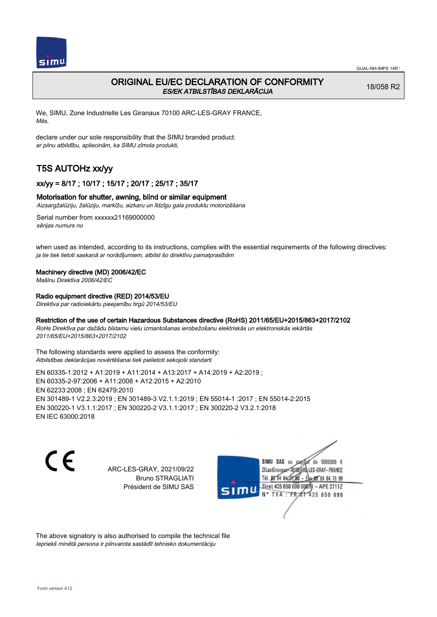

## ORIGINAL EU/EC DECLARATION OF CONFORMITY ES/EK ATBILSTĪBAS DEKLARĀCIJA

18/058 R2

We, SIMU, Zone Industrielle Les Giranaux 70100 ARC-LES-GRAY FRANCE, Mēs,

declare under our sole responsibility that the SIMU branded product: ar pilnu atbildību, apliecinām, ka SIMU zīmola produkti,

# T5S AUTOHz xx/yy

## xx/yy = 8/17 ; 10/17 ; 15/17 ; 20/17 ; 25/17 ; 35/17

### Motorisation for shutter, awning, blind or similar equipment

Aizsargžalūziju, žalūziju, markīžu, aizkaru un līdzīgu gala produktu motorizēšana

Serial number from xxxxxx21169000000 sērijas numurs no

when used as intended, according to its instructions, complies with the essential requirements of the following directives: ja tie tiek lietoti saskaņā ar norādījumiem, atbilst šo direktīvu pamatprasībām

#### Machinery directive (MD) 2006/42/EC

Mašīnu Direktīva 2006/42/EC

### Radio equipment directive (RED) 2014/53/EU

Direktīva par radioiekārtu pieejamību tirgū 2014/53/EU

### Restriction of the use of certain Hazardous Substances directive (RoHS) 2011/65/EU+2015/863+2017/2102

RoHs Direktīva par dažādu bīstamu vielu izmantošanas ierobežošanu elektriskās un elektroniskās iekārtās 2011/65/EU+2015/863+2017/2102

The following standards were applied to assess the conformity: Atbilstības deklarācijas novērtēšanai tiek pielietoti sekojoši standarti

EN 60335‑1:2012 + A1:2019 + A11:2014 + A13:2017 + A14:2019 + A2:2019 ; EN 60335‑2‑97:2006 + A11:2008 + A12:2015 + A2:2010 EN 62233:2008 ; EN 62479:2010 EN 301489‑1 V2.2.3:2019 ; EN 301489‑3 V2.1.1:2019 ; EN 55014‑1 :2017 ; EN 55014‑2:2015 EN 300220‑1 V3.1.1:2017 ; EN 300220‑2 V3.1.1:2017 ; EN 300220‑2 V3.2.1:2018 EN IEC 63000:2018

C E

ARC-LES-GRAY, 2021/09/22 Bruno STRAGLIATI Président de SIMU SAS

SIMU SAS au de 5000000  $\epsilon$ ZI Les Giranaux</r0180 LES-GRAY-FRANCE Tél. 08 84 64 28 64 75 99 Siret 425 650 090 0081) - APE 2711Z  $TVA : FRAT$ 425 650 090

The above signatory is also authorised to compile the technical file Iepriekš minētā persona ir pilnvarota sastādīt tehnisko dokumentāciju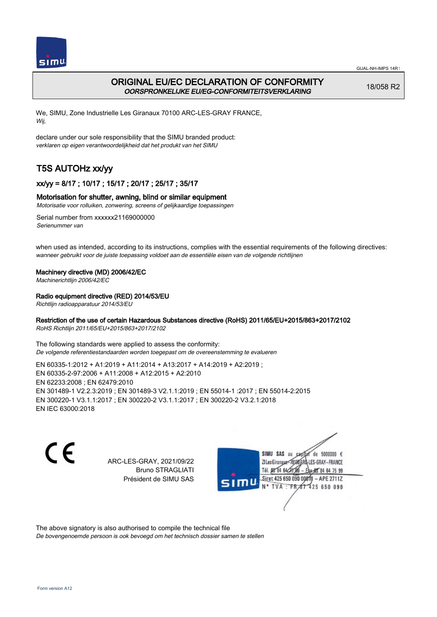

## ORIGINAL EU/EC DECLARATION OF CONFORMITY OORSPRONKELIJKE EU/EG-CONFORMITEITSVERKLARING

18/058 R2

We, SIMU, Zone Industrielle Les Giranaux 70100 ARC-LES-GRAY FRANCE, Wij,

declare under our sole responsibility that the SIMU branded product: verklaren op eigen verantwoordelijkheid dat het produkt van het SIMU

# T5S AUTOHz xx/yy

## xx/yy = 8/17 ; 10/17 ; 15/17 ; 20/17 ; 25/17 ; 35/17

## Motorisation for shutter, awning, blind or similar equipment

Motorisatie voor rolluiken, zonwering, screens of gelijkaardige toepassingen

Serial number from xxxxxx21169000000 Serienummer van

when used as intended, according to its instructions, complies with the essential requirements of the following directives: wanneer gebruikt voor de juiste toepassing voldoet aan de essentiële eisen van de volgende richtlijnen

## Machinery directive (MD) 2006/42/EC

Machinerichtlijn 2006/42/EC

## Radio equipment directive (RED) 2014/53/EU

Richtlijn radioapparatuur 2014/53/EU

## Restriction of the use of certain Hazardous Substances directive (RoHS) 2011/65/EU+2015/863+2017/2102

RoHS Richtlijn 2011/65/EU+2015/863+2017/2102

The following standards were applied to assess the conformity: De volgende referentiestandaarden worden toegepast om de overeenstemming te evalueren

EN 60335‑1:2012 + A1:2019 + A11:2014 + A13:2017 + A14:2019 + A2:2019 ; EN 60335‑2‑97:2006 + A11:2008 + A12:2015 + A2:2010 EN 62233:2008 ; EN 62479:2010 EN 301489‑1 V2.2.3:2019 ; EN 301489‑3 V2.1.1:2019 ; EN 55014‑1 :2017 ; EN 55014‑2:2015 EN 300220‑1 V3.1.1:2017 ; EN 300220‑2 V3.1.1:2017 ; EN 300220‑2 V3.2.1:2018 EN IEC 63000:2018

 $\epsilon$ 

ARC-LES-GRAY, 2021/09/22 Bruno STRAGLIATI Président de SIMU SAS



The above signatory is also authorised to compile the technical file

De bovengenoemde persoon is ook bevoegd om het technisch dossier samen te stellen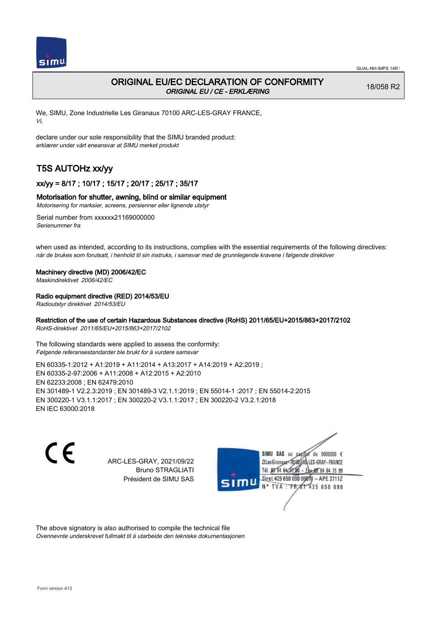

## ORIGINAL EU/EC DECLARATION OF CONFORMITY ORIGINAL EU / CE - ERKLÆRING

18/058 R2

We, SIMU, Zone Industrielle Les Giranaux 70100 ARC-LES-GRAY FRANCE, Vi,

declare under our sole responsibility that the SIMU branded product: erklærer under vårt eneansvar at SIMU merket produkt

# T5S AUTOHz xx/yy

## xx/yy = 8/17 ; 10/17 ; 15/17 ; 20/17 ; 25/17 ; 35/17

## Motorisation for shutter, awning, blind or similar equipment

Motorisering for marksier, screens, persienner eller lignende utstyr

Serial number from xxxxxx21169000000 Serienummer fra

when used as intended, according to its instructions, complies with the essential requirements of the following directives: når de brukes som forutsatt, i henhold til sin instruks, i samsvar med de grunnlegende kravene i følgende direktiver

## Machinery directive (MD) 2006/42/EC

Maskindirektivet 2006/42/EC

## Radio equipment directive (RED) 2014/53/EU

Radioutstyr direktivet 2014/53/EU

## Restriction of the use of certain Hazardous Substances directive (RoHS) 2011/65/EU+2015/863+2017/2102

RoHS-direktivet 2011/65/EU+2015/863+2017/2102

The following standards were applied to assess the conformity: Følgende referansestandarder ble brukt for å vurdere samsvar

EN 60335‑1:2012 + A1:2019 + A11:2014 + A13:2017 + A14:2019 + A2:2019 ; EN 60335‑2‑97:2006 + A11:2008 + A12:2015 + A2:2010 EN 62233:2008 ; EN 62479:2010 EN 301489‑1 V2.2.3:2019 ; EN 301489‑3 V2.1.1:2019 ; EN 55014‑1 :2017 ; EN 55014‑2:2015 EN 300220‑1 V3.1.1:2017 ; EN 300220‑2 V3.1.1:2017 ; EN 300220‑2 V3.2.1:2018 EN IEC 63000:2018

 $\epsilon$ 

ARC-LES-GRAY, 2021/09/22 Bruno STRAGLIATI Président de SIMU SAS



The above signatory is also authorised to compile the technical file Ovennevnte underskrevet fullmakt til å utarbeide den tekniske dokumentasjonen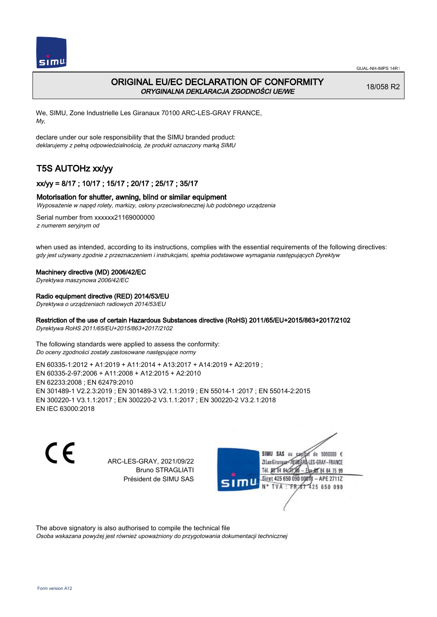

## ORIGINAL EU/EC DECLARATION OF CONFORMITY ORYGINALNA DEKLARACJA ZGODNOŚCI UE/WE

18/058 R2

We, SIMU, Zone Industrielle Les Giranaux 70100 ARC-LES-GRAY FRANCE, My,

declare under our sole responsibility that the SIMU branded product: deklarujemy z pełną odpowiedzialnością, że produkt oznaczony marką SIMU

# T5S AUTOHz xx/yy

## xx/yy = 8/17 ; 10/17 ; 15/17 ; 20/17 ; 25/17 ; 35/17

## Motorisation for shutter, awning, blind or similar equipment

Wyposażenie w napęd rolety, markizy, osłony przeciwsłonecznej lub podobnego urządzenia

Serial number from xxxxxx21169000000 z numerem seryjnym od

when used as intended, according to its instructions, complies with the essential requirements of the following directives: gdy jest używany zgodnie z przeznaczeniem i instrukcjami, spełnia podstawowe wymagania następujących Dyrektyw

### Machinery directive (MD) 2006/42/EC

Dyrektywa maszynowa 2006/42/EC

## Radio equipment directive (RED) 2014/53/EU

Dyrektywa o urządzeniach radiowych 2014/53/EU

## Restriction of the use of certain Hazardous Substances directive (RoHS) 2011/65/EU+2015/863+2017/2102

Dyrektywa RoHS 2011/65/EU+2015/863+2017/2102

The following standards were applied to assess the conformity: Do oceny zgodności zostały zastosowane następujące normy

EN 60335‑1:2012 + A1:2019 + A11:2014 + A13:2017 + A14:2019 + A2:2019 ; EN 60335‑2‑97:2006 + A11:2008 + A12:2015 + A2:2010 EN 62233:2008 ; EN 62479:2010 EN 301489‑1 V2.2.3:2019 ; EN 301489‑3 V2.1.1:2019 ; EN 55014‑1 :2017 ; EN 55014‑2:2015 EN 300220‑1 V3.1.1:2017 ; EN 300220‑2 V3.1.1:2017 ; EN 300220‑2 V3.2.1:2018 EN IEC 63000:2018

C E

ARC-LES-GRAY, 2021/09/22 Bruno STRAGLIATI Président de SIMU SAS



The above signatory is also authorised to compile the technical file

Osoba wskazana powyżej jest również upoważniony do przygotowania dokumentacji technicznej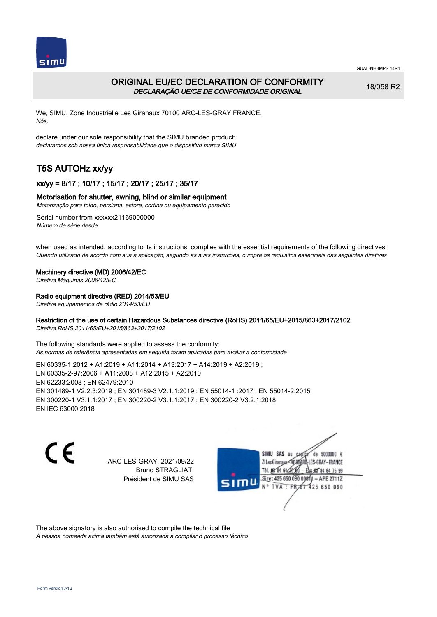

## ORIGINAL EU/EC DECLARATION OF CONFORMITY DECLARAÇÃO UE/CE DE CONFORMIDADE ORIGINAL

18/058 R2

We, SIMU, Zone Industrielle Les Giranaux 70100 ARC-LES-GRAY FRANCE, Nós,

declare under our sole responsibility that the SIMU branded product: declaramos sob nossa única responsabilidade que o dispositivo marca SIMU

# T5S AUTOHz xx/yy

## xx/yy = 8/17 ; 10/17 ; 15/17 ; 20/17 ; 25/17 ; 35/17

## Motorisation for shutter, awning, blind or similar equipment

Motorização para toldo, persiana, estore, cortina ou equipamento parecido

Serial number from xxxxxx21169000000 Número de série desde

when used as intended, according to its instructions, complies with the essential requirements of the following directives: Quando utilizado de acordo com sua a aplicação, segundo as suas instruções, cumpre os requisitos essenciais das seguintes diretivas

### Machinery directive (MD) 2006/42/EC

Diretiva Máquinas 2006/42/EC

## Radio equipment directive (RED) 2014/53/EU

Diretiva equipamentos de rádio 2014/53/EU

## Restriction of the use of certain Hazardous Substances directive (RoHS) 2011/65/EU+2015/863+2017/2102

Diretiva RoHS 2011/65/EU+2015/863+2017/2102

The following standards were applied to assess the conformity: As normas de referência apresentadas em seguida foram aplicadas para avaliar a conformidade

EN 60335‑1:2012 + A1:2019 + A11:2014 + A13:2017 + A14:2019 + A2:2019 ; EN 60335‑2‑97:2006 + A11:2008 + A12:2015 + A2:2010 EN 62233:2008 ; EN 62479:2010 EN 301489‑1 V2.2.3:2019 ; EN 301489‑3 V2.1.1:2019 ; EN 55014‑1 :2017 ; EN 55014‑2:2015 EN 300220‑1 V3.1.1:2017 ; EN 300220‑2 V3.1.1:2017 ; EN 300220‑2 V3.2.1:2018 EN IEC 63000:2018

 $\epsilon$ 

ARC-LES-GRAY, 2021/09/22 Bruno STRAGLIATI Président de SIMU SAS



The above signatory is also authorised to compile the technical file

A pessoa nomeada acima também está autorizada a compilar o processo técnico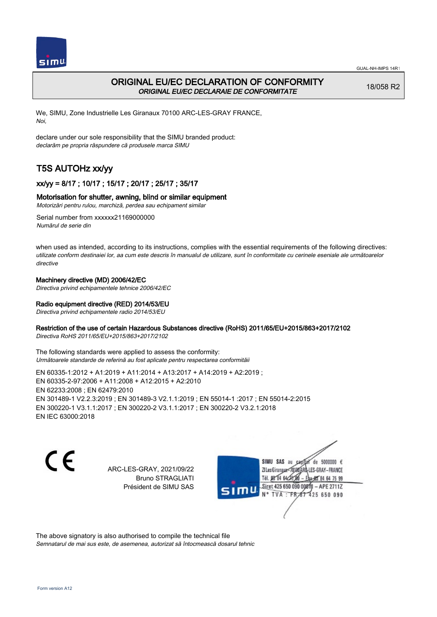



## ORIGINAL EU/EC DECLARATION OF CONFORMITY ORIGINAL EU/EC DECLARAIE DE CONFORMITATE

18/058 R2

We, SIMU, Zone Industrielle Les Giranaux 70100 ARC-LES-GRAY FRANCE, Noi,

declare under our sole responsibility that the SIMU branded product: declarăm pe propria răspundere că produsele marca SIMU

# T5S AUTOHz xx/yy

## xx/yy = 8/17 ; 10/17 ; 15/17 ; 20/17 ; 25/17 ; 35/17

## Motorisation for shutter, awning, blind or similar equipment

Motorizări pentru rulou, marchiză, perdea sau echipament similar

Serial number from xxxxxx21169000000 Numărul de serie din

when used as intended, according to its instructions, complies with the essential requirements of the following directives: utilizate conform destinaiei lor, aa cum este descris în manualul de utilizare, sunt în conformitate cu cerinele eseniale ale următoarelor directive

## Machinery directive (MD) 2006/42/EC

Directiva privind echipamentele tehnice 2006/42/EC

## Radio equipment directive (RED) 2014/53/EU

Directiva privind echipamentele radio 2014/53/EU

## Restriction of the use of certain Hazardous Substances directive (RoHS) 2011/65/EU+2015/863+2017/2102

Directiva RoHS 2011/65/EU+2015/863+2017/2102

The following standards were applied to assess the conformity: Următoarele standarde de referină au fost aplicate pentru respectarea conformităii

EN 60335‑1:2012 + A1:2019 + A11:2014 + A13:2017 + A14:2019 + A2:2019 ; EN 60335‑2‑97:2006 + A11:2008 + A12:2015 + A2:2010 EN 62233:2008 ; EN 62479:2010 EN 301489‑1 V2.2.3:2019 ; EN 301489‑3 V2.1.1:2019 ; EN 55014‑1 :2017 ; EN 55014‑2:2015 EN 300220‑1 V3.1.1:2017 ; EN 300220‑2 V3.1.1:2017 ; EN 300220‑2 V3.2.1:2018 EN IEC 63000:2018

C E

ARC-LES-GRAY, 2021/09/22 Bruno STRAGLIATI Président de SIMU SAS

de 5000000  $\epsilon$ SIMU SAS au ZI Les Giranaux-70180 LES-GRAY-FRANCE Tél. 08 84 64 24 64 75 99 Siret 425 650 090 0001) - APE 2711Z 425 650 090 TVA: FR

The above signatory is also authorised to compile the technical file Semnatarul de mai sus este, de asemenea, autorizat să întocmească dosarul tehnic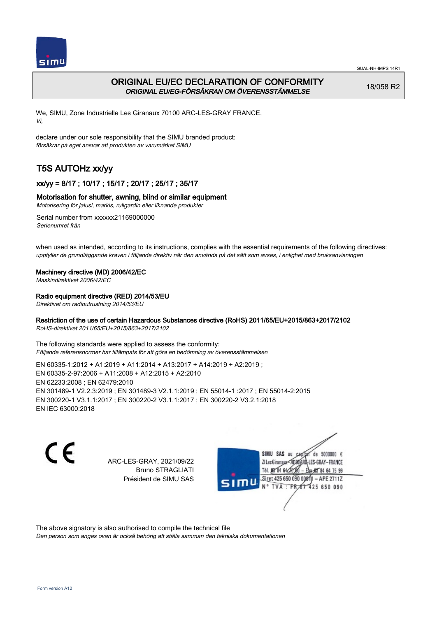

## ORIGINAL EU/EC DECLARATION OF CONFORMITY ORIGINAL EU/EG-FÖRSÄKRAN OM ÖVERENSSTÄMMELSE

18/058 R2

We, SIMU, Zone Industrielle Les Giranaux 70100 ARC-LES-GRAY FRANCE, Vi,

declare under our sole responsibility that the SIMU branded product: försäkrar på eget ansvar att produkten av varumärket SIMU

# T5S AUTOHz xx/yy

## xx/yy = 8/17 ; 10/17 ; 15/17 ; 20/17 ; 25/17 ; 35/17

## Motorisation for shutter, awning, blind or similar equipment

Motorisering för jalusi, markis, rullgardin eller liknande produkter

Serial number from xxxxxx21169000000 Serienumret från

when used as intended, according to its instructions, complies with the essential requirements of the following directives: uppfyller de grundläggande kraven i följande direktiv när den används på det sätt som avses, i enlighet med bruksanvisningen

## Machinery directive (MD) 2006/42/EC

Maskindirektivet 2006/42/EC

## Radio equipment directive (RED) 2014/53/EU

Direktivet om radioutrustning 2014/53/EU

## Restriction of the use of certain Hazardous Substances directive (RoHS) 2011/65/EU+2015/863+2017/2102

RoHS-direktivet 2011/65/EU+2015/863+2017/2102

The following standards were applied to assess the conformity: Följande referensnormer har tillämpats för att göra en bedömning av överensstämmelsen

EN 60335‑1:2012 + A1:2019 + A11:2014 + A13:2017 + A14:2019 + A2:2019 ; EN 60335‑2‑97:2006 + A11:2008 + A12:2015 + A2:2010 EN 62233:2008 ; EN 62479:2010 EN 301489‑1 V2.2.3:2019 ; EN 301489‑3 V2.1.1:2019 ; EN 55014‑1 :2017 ; EN 55014‑2:2015 EN 300220‑1 V3.1.1:2017 ; EN 300220‑2 V3.1.1:2017 ; EN 300220‑2 V3.2.1:2018 EN IEC 63000:2018

 $\epsilon$ 

ARC-LES-GRAY, 2021/09/22 Bruno STRAGLIATI Président de SIMU SAS



The above signatory is also authorised to compile the technical file

Den person som anges ovan är också behörig att ställa samman den tekniska dokumentationen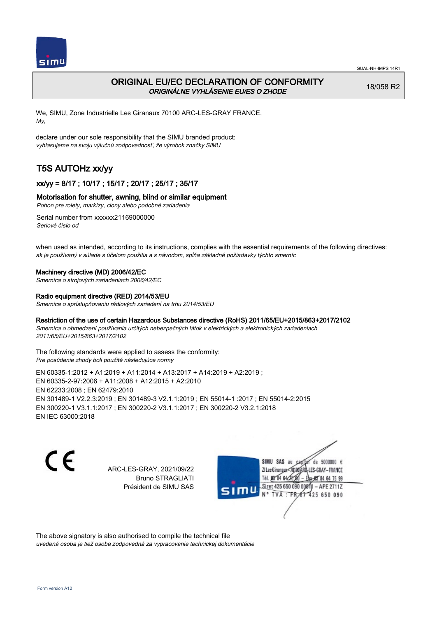

## ORIGINAL EU/EC DECLARATION OF CONFORMITY ORIGINÁLNE VYHLÁSENIE EU/ES O ZHODE

18/058 R2

We, SIMU, Zone Industrielle Les Giranaux 70100 ARC-LES-GRAY FRANCE, My,

declare under our sole responsibility that the SIMU branded product: vyhlasujeme na svoju výlučnú zodpovednosť, že výrobok značky SIMU

# T5S AUTOHz xx/yy

## xx/yy = 8/17 ; 10/17 ; 15/17 ; 20/17 ; 25/17 ; 35/17

## Motorisation for shutter, awning, blind or similar equipment

Pohon pre rolety, markízy, clony alebo podobné zariadenia

Serial number from xxxxxx21169000000 Seriové číslo od

when used as intended, according to its instructions, complies with the essential requirements of the following directives: ak je používaný v súlade s účelom použitia a s návodom, spĺňa základné požiadavky týchto smerníc

### Machinery directive (MD) 2006/42/EC

Smernica o strojových zariadeniach 2006/42/EC

### Radio equipment directive (RED) 2014/53/EU

Smernica o sprístupňovaniu rádiových zariadení na trhu 2014/53/EU

## Restriction of the use of certain Hazardous Substances directive (RoHS) 2011/65/EU+2015/863+2017/2102

Smernica o obmedzení používania určitých nebezpečných látok v elektrických a elektronických zariadeniach 2011/65/EU+2015/863+2017/2102

The following standards were applied to assess the conformity: Pre posúdenie zhody boli použité následujúce normy

EN 60335‑1:2012 + A1:2019 + A11:2014 + A13:2017 + A14:2019 + A2:2019 ; EN 60335‑2‑97:2006 + A11:2008 + A12:2015 + A2:2010 EN 62233:2008 ; EN 62479:2010 EN 301489‑1 V2.2.3:2019 ; EN 301489‑3 V2.1.1:2019 ; EN 55014‑1 :2017 ; EN 55014‑2:2015 EN 300220‑1 V3.1.1:2017 ; EN 300220‑2 V3.1.1:2017 ; EN 300220‑2 V3.2.1:2018 EN IEC 63000:2018

C E

ARC-LES-GRAY, 2021/09/22 Bruno STRAGLIATI Président de SIMU SAS

SIMU SAS au de 5000000  $\epsilon$ ZI Les Giranaux</r0180 LES-GRAY-FRANCE Tél. 08 84 64 24 64 75 99 Siret 425 650 090 008TV - APE 2711Z 425 650 090 TVA : FRAT

The above signatory is also authorised to compile the technical file uvedená osoba je tiež osoba zodpovedná za vypracovanie technickej dokumentácie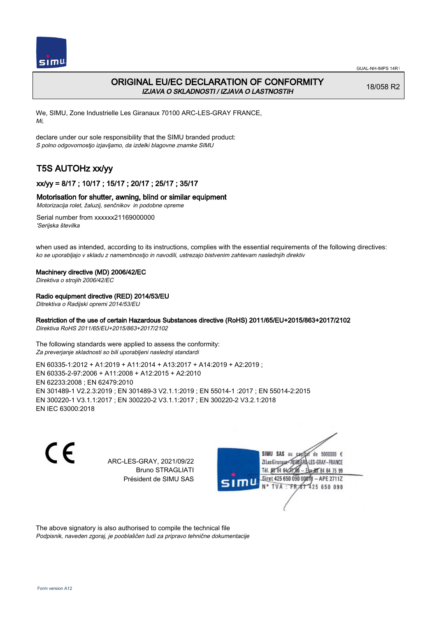

## ORIGINAL EU/EC DECLARATION OF CONFORMITY IZJAVA O SKLADNOSTI / IZJAVA O LASTNOSTIH

18/058 R2

We, SIMU, Zone Industrielle Les Giranaux 70100 ARC-LES-GRAY FRANCE, Mi,

declare under our sole responsibility that the SIMU branded product: S polno odgovornostjo izjavljamo, da izdelki blagovne znamke SIMU

# T5S AUTOHz xx/yy

## xx/yy = 8/17 ; 10/17 ; 15/17 ; 20/17 ; 25/17 ; 35/17

## Motorisation for shutter, awning, blind or similar equipment

Motorizacija rolet, žaluzij, senčnikov in podobne opreme

Serial number from xxxxxx21169000000 'Serijska številka

when used as intended, according to its instructions, complies with the essential requirements of the following directives: ko se uporabljajo v skladu z namembnostjo in navodili, ustrezajo bistvenim zahtevam naslednjih direktiv

### Machinery directive (MD) 2006/42/EC

Direktiva o strojih 2006/42/EC

## Radio equipment directive (RED) 2014/53/EU

Ditrektiva o Radijski opremi 2014/53/EU

## Restriction of the use of certain Hazardous Substances directive (RoHS) 2011/65/EU+2015/863+2017/2102

Direktiva RoHS 2011/65/EU+2015/863+2017/2102

The following standards were applied to assess the conformity: Za preverjanje skladnosti so bili uporabljeni naslednji standardi

EN 60335‑1:2012 + A1:2019 + A11:2014 + A13:2017 + A14:2019 + A2:2019 ; EN 60335‑2‑97:2006 + A11:2008 + A12:2015 + A2:2010 EN 62233:2008 ; EN 62479:2010 EN 301489‑1 V2.2.3:2019 ; EN 301489‑3 V2.1.1:2019 ; EN 55014‑1 :2017 ; EN 55014‑2:2015 EN 300220‑1 V3.1.1:2017 ; EN 300220‑2 V3.1.1:2017 ; EN 300220‑2 V3.2.1:2018 EN IEC 63000:2018

 $\epsilon$ 

ARC-LES-GRAY, 2021/09/22 Bruno STRAGLIATI Président de SIMU SAS



The above signatory is also authorised to compile the technical file Podpisnik, naveden zgoraj, je pooblaščen tudi za pripravo tehnične dokumentacije